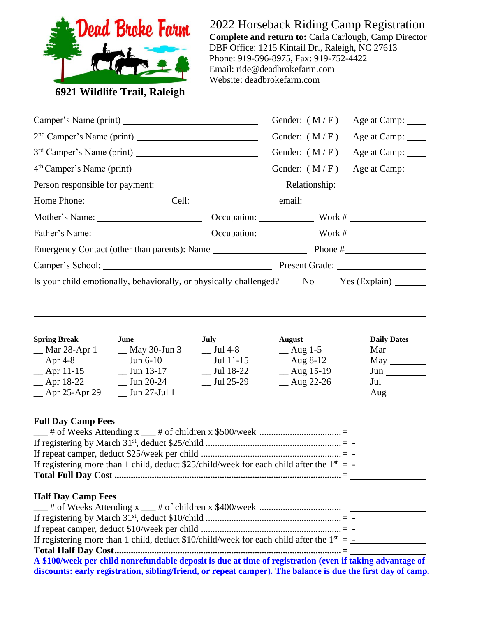

2022 Horseback Riding Camp Registration **Complete and return to:** Carla Carlough, Camp Director DBF Office: 1215 Kintail Dr., Raleigh, NC 27613 Phone: 919-596-8975, Fax: 919-752-4422 Email: ride@deadbrokefarm.com Website: deadbrokefarm.com

**6921 Wildlife Trail, Raleigh**

|                                  |                                                                                                | Gender: $(M/F)$<br>Age at Camp: _____          |                                     |                    |  |
|----------------------------------|------------------------------------------------------------------------------------------------|------------------------------------------------|-------------------------------------|--------------------|--|
|                                  |                                                                                                |                                                | Gender: $(M/F)$                     | Age at Camp: ____  |  |
|                                  |                                                                                                |                                                | Gender: $(M/F)$                     | Age at Camp: _____ |  |
|                                  |                                                                                                |                                                | Gender: $(M/F)$                     | Age at Camp: _____ |  |
|                                  |                                                                                                |                                                |                                     |                    |  |
|                                  |                                                                                                |                                                |                                     |                    |  |
|                                  |                                                                                                |                                                |                                     |                    |  |
|                                  |                                                                                                |                                                |                                     |                    |  |
|                                  |                                                                                                |                                                |                                     |                    |  |
|                                  |                                                                                                | Camper's School: Present Grade: Present Grade: |                                     |                    |  |
|                                  |                                                                                                |                                                |                                     |                    |  |
| <b>Spring Break</b>              | June                                                                                           | <b>July</b>                                    | August                              | <b>Daily Dates</b> |  |
| __ Mar 28-Apr 1<br>$\_\$ Apr 4-8 | $\equiv$ May 30-Jun 3<br>$\frac{\text{Jun } 6-10}{\text{L}}$                                   | $\_$ Jul 4-8<br>$\_$ Jul 11-15                 | $\equiv$ Aug 1-5<br>$\_\_$ Aug 8-12 | $May \_\_$         |  |
| $\mu$ Apr 11-15                  | $\frac{\text{Jun }13-17}{\text{L}}$                                                            | $\_$ Jul 18-22                                 | $\mu$ Aug 15-19                     | Jun                |  |
| $-$ Apr 18-22                    | $\frac{\text{Jun } 20-24}{}$                                                                   | $\frac{\text{Jul } 25-29}{}$                   | $\mu$ Aug 22-26                     | $\,$ Jul $\_\_$    |  |
| $\equiv$ Apr 25-Apr 29           | $\_$ Jun 27-Jul 1                                                                              |                                                |                                     | $\text{Aug}$       |  |
| <b>Full Day Camp Fees</b>        |                                                                                                |                                                |                                     |                    |  |
|                                  |                                                                                                |                                                |                                     |                    |  |
|                                  |                                                                                                |                                                |                                     |                    |  |
|                                  | If registering more than 1 child, deduct \$25/child/week for each child after the $1^{st} = -$ |                                                |                                     |                    |  |
|                                  |                                                                                                |                                                |                                     |                    |  |

# **Half Day Camp Fees**

| If registering more than 1 child, deduct \$10/child/week for each child after the $1^{st} = -$           |  |
|----------------------------------------------------------------------------------------------------------|--|
|                                                                                                          |  |
| A \$100/week non shild nonvertundely depect is due of time of registration (even if to line edwartege of |  |

**A \$100/week per child nonrefundable deposit is due at time of registration (even if taking advantage of discounts: early registration, sibling/friend, or repeat camper). The balance is due the first day of camp.**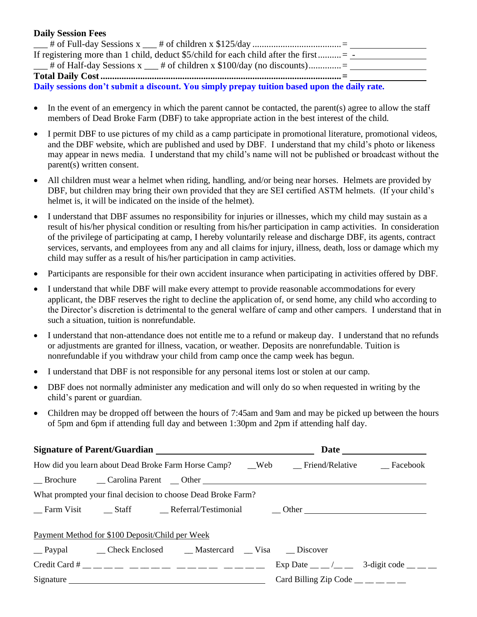# **Daily Session Fees**

| If registering more than 1 child, deduct $$5$ /child for each child after the first           |  |
|-----------------------------------------------------------------------------------------------|--|
| $\frac{1}{1}$ # of Half-day Sessions x $\frac{1}{1}$ # of children x \$100/day (no discounts) |  |
|                                                                                               |  |

**Daily sessions don't submit a discount. You simply prepay tuition based upon the daily rate.**

- In the event of an emergency in which the parent cannot be contacted, the parent(s) agree to allow the staff members of Dead Broke Farm (DBF) to take appropriate action in the best interest of the child.
- I permit DBF to use pictures of my child as a camp participate in promotional literature, promotional videos, and the DBF website, which are published and used by DBF. I understand that my child's photo or likeness may appear in news media. I understand that my child's name will not be published or broadcast without the parent(s) written consent.
- All children must wear a helmet when riding, handling, and/or being near horses. Helmets are provided by DBF, but children may bring their own provided that they are SEI certified ASTM helmets. (If your child's helmet is, it will be indicated on the inside of the helmet).
- I understand that DBF assumes no responsibility for injuries or illnesses, which my child may sustain as a result of his/her physical condition or resulting from his/her participation in camp activities. In consideration of the privilege of participating at camp, I hereby voluntarily release and discharge DBF, its agents, contract services, servants, and employees from any and all claims for injury, illness, death, loss or damage which my child may suffer as a result of his/her participation in camp activities.
- Participants are responsible for their own accident insurance when participating in activities offered by DBF.
- I understand that while DBF will make every attempt to provide reasonable accommodations for every applicant, the DBF reserves the right to decline the application of, or send home, any child who according to the Director's discretion is detrimental to the general welfare of camp and other campers. I understand that in such a situation, tuition is nonrefundable.
- I understand that non-attendance does not entitle me to a refund or makeup day. I understand that no refunds or adjustments are granted for illness, vacation, or weather. Deposits are nonrefundable. Tuition is nonrefundable if you withdraw your child from camp once the camp week has begun.
- I understand that DBF is not responsible for any personal items lost or stolen at our camp.
- DBF does not normally administer any medication and will only do so when requested in writing by the child's parent or guardian.
- Children may be dropped off between the hours of 7:45am and 9am and may be picked up between the hours of 5pm and 6pm if attending full day and between 1:30pm and 2pm if attending half day.

| How did you learn about Dead Broke Farm Horse Camp? __Web ___Friend/Relative ___Facebook |                                                                 |  |  |
|------------------------------------------------------------------------------------------|-----------------------------------------------------------------|--|--|
|                                                                                          |                                                                 |  |  |
| What prompted your final decision to choose Dead Broke Farm?                             |                                                                 |  |  |
|                                                                                          |                                                                 |  |  |
| Payment Method for \$100 Deposit/Child per Week                                          |                                                                 |  |  |
|                                                                                          |                                                                 |  |  |
| Credit Card # _ _ _ _ _ _ _ _ _ _ _ _ _ _ _ _ _ _                                        | Exp Date $\_\_\_\_\_\_\_\_\$ 3-digit code $\_\_\_\_\_\_\_\_\_\$ |  |  |
| Signature                                                                                | Card Billing Zip Code $\_\_\_\_\_\_\_\_\_\_\_\_\_$              |  |  |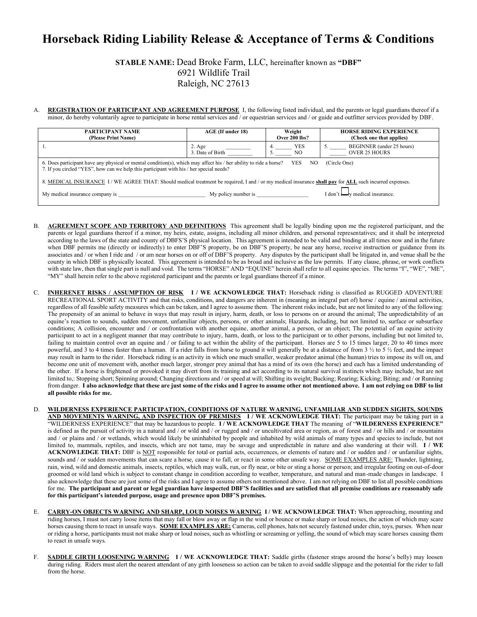# **Horseback Riding Liability Release & Acceptance of Terms & Conditions**

**STABLE NAME:** Dead Broke Farm, LLC, hereinafter known as **"DBF"** 6921 Wildlife Trail Raleigh, NC 27613

A. **REGISTRATION OF PARTICIPANT AND AGREEMENT PURPOSE** I, the following listed individual, and the parents or legal guardians thereof if a minor, do hereby voluntarily agree to participate in horse rental services and / or equestrian services and / or guide and outfitter services provided by DBF.

| PARTICIPANT NAME<br>(Please Print Name)                                                                                                                                                                                                   | AGE (If under 18)                   | Weight<br><b>Over 200 lbs?</b> | <b>HORSE RIDING EXPERIENCE</b><br>(Check one that applies) |  |
|-------------------------------------------------------------------------------------------------------------------------------------------------------------------------------------------------------------------------------------------|-------------------------------------|--------------------------------|------------------------------------------------------------|--|
|                                                                                                                                                                                                                                           | $2. \text{Age}$<br>3. Date of Birth | <b>YES</b><br>NO.              | BEGINNER (under 25 hours)<br><b>OVER 25 HOURS</b>          |  |
| 6. Does participant have any physical or mental condition(s), which may affect his / her ability to ride a horse?<br>YES<br>NO<br>(Circle One)<br>7. If you circled "YES", how can we help this participant with his / her special needs? |                                     |                                |                                                            |  |
| 8. MEDICAL INSURANCE 1/WE AGREE THAT: Should medical treatment be required, I and / or my medical insurance shall pay for ALL such incurred expenses.                                                                                     |                                     |                                |                                                            |  |
| My policy number is<br>My medical insurance company is                                                                                                                                                                                    |                                     |                                | I don't <del>carr</del> y medical insurance.               |  |

- B. **AGREEMENT SCOPE AND TERRITORY AND DEFINITIONS** This agreement shall be legally binding upon me the registered participant, and the parents or legal guardians thereof if a minor, my heirs, estate, assigns, including all minor children, and personal representatives; and it shall be interpreted according to the laws of the state and county of DBFS'S physical location. This agreement is intended to be valid and binding at all times now and in the future when DBF permits me (directly or indirectly) to enter DBF'S property, be on DBF'S property, be near any horse, receive instruction or guidance from its associates and / or when I ride and / or am near horses on or off of DBF'S property. Any disputes by the participant shall be litigated in, and venue shall be the county in which DBF is physically located. This agreement is intended to be as broad and inclusive as the law permits. If any clause, phrase, or work conflicts with state law, then that single part is null and void. The terms "HORSE" AND "EQUINE" herein shall refer to all equine species. The terms "I", "WE", "ME", "MY" shall herein refer to the above registered participant and the parents or legal guardians thereof if a minor.
- C. **INHERENET RISKS / ASSUMPTION OF RISK I / WE ACKNOWLEDGE THAT:** Horseback riding is classified as RUGGED ADVENTURE RECREATIONAL SPORT ACTIVITY and that risks, conditions, and dangers are inherent in (meaning an integral part of) horse / equine / animal activities, regardless of all feasible safety measures which can be taken, and I agree to assume them. The inherent risks include, but are not limited to any of the following: The propensity of an animal to behave in ways that may result in injury, harm, death, or loss to persons on or around the animal; The unpredictability of an equine's reaction to sounds, sudden movement, unfamiliar objects, persons, or other animals; Hazards, including, but not limited to, surface or subsurface conditions; A collision, encounter and / or confrontation with another equine, another animal, a person, or an object; The potential of an equine activity participant to act in a negligent manner that may contribute to injury, harm, death, or loss to the participant or to other persons, including but not limited to, failing to maintain control over an equine and / or failing to act within the ability of the participant. Horses are 5 to 15 times larger, 20 to 40 times more powerful, and 3 to 4 times faster than a human. If a rider falls from horse to ground it will generally be at a distance of from 3 ½ to 5 ½ feet, and the impact may result in harm to the rider. Horseback riding is an activity in which one much smaller, weaker predator animal (the human) tries to impose its will on, and become one unit of movement with, another much larger, stronger prey animal that has a mind of its own (the horse) and each has a limited understanding of the other. If a horse is frightened or provoked it may divert from its training and act according to its natural survival instincts which may include, but are not limited to,: Stopping short; Spinning around; Changing directions and / or speed at will; Shifting its weight; Bucking; Rearing; Kicking; Biting; and / or Running from danger. **I also acknowledge that these are just some of the risks and I agree to assume other not mentioned above. I am not relying on DBF to list all possible risks for me.**
- D. **WILDERNESS EXPERIENCE PARTICIPATION, CONDITIONS OF NATURE WARNING, UNFAMILIAR AND SUDDEN SIGHTS, SOUNDS AND MOVEMENTS WARNING, AND INSPECTION OF PREMISES I / WE ACKNOWLEDGE THAT:** The participant may be taking part in a "WILDERNESS EXPERIENCE" that may be hazardous to people. **I / WE ACKNOWLEDGE THAT** The meaning of "**WILDERNESS EXPERIENCE"** is defined as the pursuit of activity in a natural and / or wild and / or rugged and / or uncultivated area or region, as of forest and / or hills and / or mountains and / or plains and / or wetlands, which would likely be uninhabited by people and inhabited by wild animals of many types and species to include, but not limited to, mammals, reptiles, and insects, which are not tame, may be savage and unpredictable in nature and also wandering at their will. **I / WE ACKNOWLEDGE THAT:** DBF is NOT responsible for total or partial acts, occurrences, or elements of nature and / or sudden and / or unfamiliar sights, sounds and / or sudden movements that can scare a horse, cause it to fall, or react in some other unsafe way. SOME EXAMPLES ARE: Thunder, lightning, rain, wind, wild and domestic animals, insects, reptiles, which may walk, run, or fly near, or bite or sting a horse or person; and irregular footing on out-of-door groomed or wild land which is subject to constant change in condition according to weather, temperature, and natural and man-made changes in landscape. I also acknowledge that these are just some of the risks and I agree to assume others not mentioned above. I am not relying on DBF to list all possible conditions for me. **The participant and parent or legal guardian have inspected DBF'S facilities and are satisfied that all premise conditions are reasonably safe for this participant's intended purpose, usage and presence upon DBF'S premises.**
- E. **CARRY-ON OBJECTS WARNING AND SHARP, LOUD NOISES WARNING I / WE ACKNOWLEDGE THAT:** When approaching, mounting and riding horses, I must not carry loose items that may fall or blow away or flap in the wind or bounce or make sharp or loud noises, the action of which may scare horses causing them to react in unsafe ways. **SOME EXAMPLES ARE:** Cameras, cell phones, hats not securely fastened under chin, toys, purses. When near or riding a horse, participants must not make sharp or loud noises, such as whistling or screaming or yelling, the sound of which may scare horses causing them to react in unsafe ways.
- F. **SADDLE GIRTH LOOSENING WARNING I / WE ACKNOWLEDGE THAT:** Saddle girths (fastener straps around the horse's belly) may loosen during riding. Riders must alert the nearest attendant of any girth looseness so action can be taken to avoid saddle slippage and the potential for the rider to fall from the horse.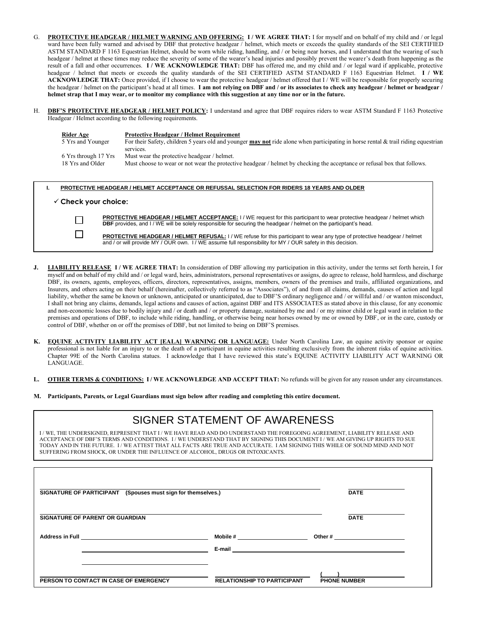- G. **PROTECTIVE HEADGEAR / HELMET WARNING AND OFFERING: I / WE AGREE THAT:** I for myself and on behalf of my child and / or legal ward have been fully warned and advised by DBF that protective headgear / helmet, which meets or exceeds the quality standards of the SEI CERTIFIED ASTM STANDARD F 1163 Equestrian Helmet, should be worn while riding, handling, and / or being near horses, and I understand that the wearing of such headgear / helmet at these times may reduce the severity of some of the wearer's head injuries and possibly prevent the wearer's death from happening as the result of a fall and other occurrences. **I / WE ACKNOWLEDGE THAT:** DBF has offered me, and my child and / or legal ward if applicable, protective headgear / helmet that meets or exceeds the quality standards of the SEI CERTIFIED ASTM STANDARD F 1163 Equestrian Helmet. **I / WE ACKNOWLEDGE THAT:** Once provided, if I choose to wear the protective headgear / helmet offered that I / WE will be responsible for properly securing the headgear / helmet on the participant's head at all times. **I am not relying on DBF and / or its associates to check any headgear / helmet or headgear / helmet strap that I may wear, or to monitor my compliance with this suggestion at any time nor or in the future.**
- H. **DBF'S PROTECTIVE HEADGEAR / HELMET POLICY:** I understand and agree that DBF requires riders to wear ASTM Standard F 1163 Protective Headgear / Helmet according to the following requirements.

| Rider Age            | <b>Protective Headgear / Helmet Requirement</b>                                                                                           |
|----------------------|-------------------------------------------------------------------------------------------------------------------------------------------|
| 5 Yrs and Younger    | For their Safety, children 5 years old and younger <b>may not</b> ride alone when participating in horse rental & trail riding equestrian |
|                      | services.                                                                                                                                 |
| 6 Yrs through 17 Yrs | Must wear the protective headgear / helmet.                                                                                               |
| 18 Yrs and Older     | Must choose to wear or not wear the protective headgear / helmet by checking the acceptance or refusal box that follows.                  |

#### **I. PROTECTIVE HEADGEAR / HELMET ACCEPTANCE OR REFUSSAL SELECTION FOR RIDERS 18 YEARS AND OLDER**

### ✓ **Check your choice:**

PROTECTIVE HEADGEAR / HELMET ACCEPTANCE: I / WE request for this participant to wear protective headgear / helmet which **DBF** provides, and I / WE will be solely responsible for securing the headgear / helmet on the participant's head.

**PROTECTIVE HEADGEAR / HELMET REFUSAL:** I / WE refuse for this participant to wear any type of protective headgear / helmet and / or will provide MY / OUR own. I / WE assume full responsibility for MY / OUR safety in this decision.

- **J. LIABILITY RELEASE I / WE AGREE THAT:** In consideration of DBF allowing my participation in this activity, under the terms set forth herein, I for myself and on behalf of my child and / or legal ward, heirs, administrators, personal representatives or assigns, do agree to release, hold harmless, and discharge DBF, its owners, agents, employees, officers, directors, representatives, assigns, members, owners of the premises and trails, affiliated organizations, and Insurers, and others acting on their behalf (hereinafter, collectively referred to as "Associates"), of and from all claims, demands, causes of action and legal liability, whether the same be known or unknown, anticipated or unanticipated, due to DBF'S ordinary negligence and / or will ful and / or wanton misconduct, I shall not bring any claims, demands, legal actions and causes of action, against DBF and ITS ASSOCIATES as stated above in this clause, for any economic and non-economic losses due to bodily injury and / or death and / or property damage, sustained by me and / or my minor child or legal ward in relation to the premises and operations of DBF, to include while riding, handling, or otherwise being near horses owned by me or owned by DBF, or in the care, custody or control of DBF, whether on or off the premises of DBF, but not limited to being on DBF'S premises.
- **K. EQUINE ACTIVITY LIABILITY ACT [EALA] WARNING OR LANGUAGE:** Under North Carolina Law, an equine activity sponsor or equine professional is not liable for an injury to or the death of a participant in equine activities resulting exclusively from the inherent risks of equine activities. Chapter 99E of the North Carolina statues. I acknowledge that I have reviewed this state's EQUINE ACTIVITY LIABILITY ACT WARNING OR LANGUAGE.
- L. **OTHER TERMS & CONDITIONS:** I/WE ACKNOWLEDGE AND ACCEPT THAT: No refunds will be given for any reason under any circumstances.
- **M. Participants, Parents, or Legal Guardians must sign below after reading and completing this entire document.**

# SIGNER STATEMENT OF AWARENESS

I / WE, THE UNDERSIGNED, REPRESENT THAT I / WE HAVE READ AND DO UNDERSTAND THE FOREGOING AGREEMENT, LIABILITY RELEASE AND ACCEPTANCE OF DBF'S TERMS AND CONDITIONS. I / WE UNDERSTAND THAT BY SIGNING THIS DOCUMENT I / WE AM GIVING UP RIGHTS TO SUE TODAY AND IN THE FUTURE. I / WE ATTEST THAT ALL FACTS ARE TRUE AND ACCURATE. I AM SIGNING THIS WHILE OF SOUND MIND AND NOT SUFFERING FROM SHOCK, OR UNDER THE INFLUENCE OF ALCOHOL, DRUGS OR INTOXICANTS.

| SIGNATURE OF PARTICIPANT (Spouses must sign for themselves.) |                                    | <b>DATE</b>         |
|--------------------------------------------------------------|------------------------------------|---------------------|
|                                                              |                                    |                     |
| SIGNATURE OF PARENT OR GUARDIAN                              |                                    | <b>DATE</b>         |
| <b>Address in Full</b>                                       | Mobile #                           | Other #             |
|                                                              | E-mail                             |                     |
|                                                              |                                    |                     |
|                                                              |                                    |                     |
| PERSON TO CONTACT IN CASE OF EMERGENCY                       | <b>RELATIONSHIP TO PARTICIPANT</b> | <b>PHONE NUMBER</b> |